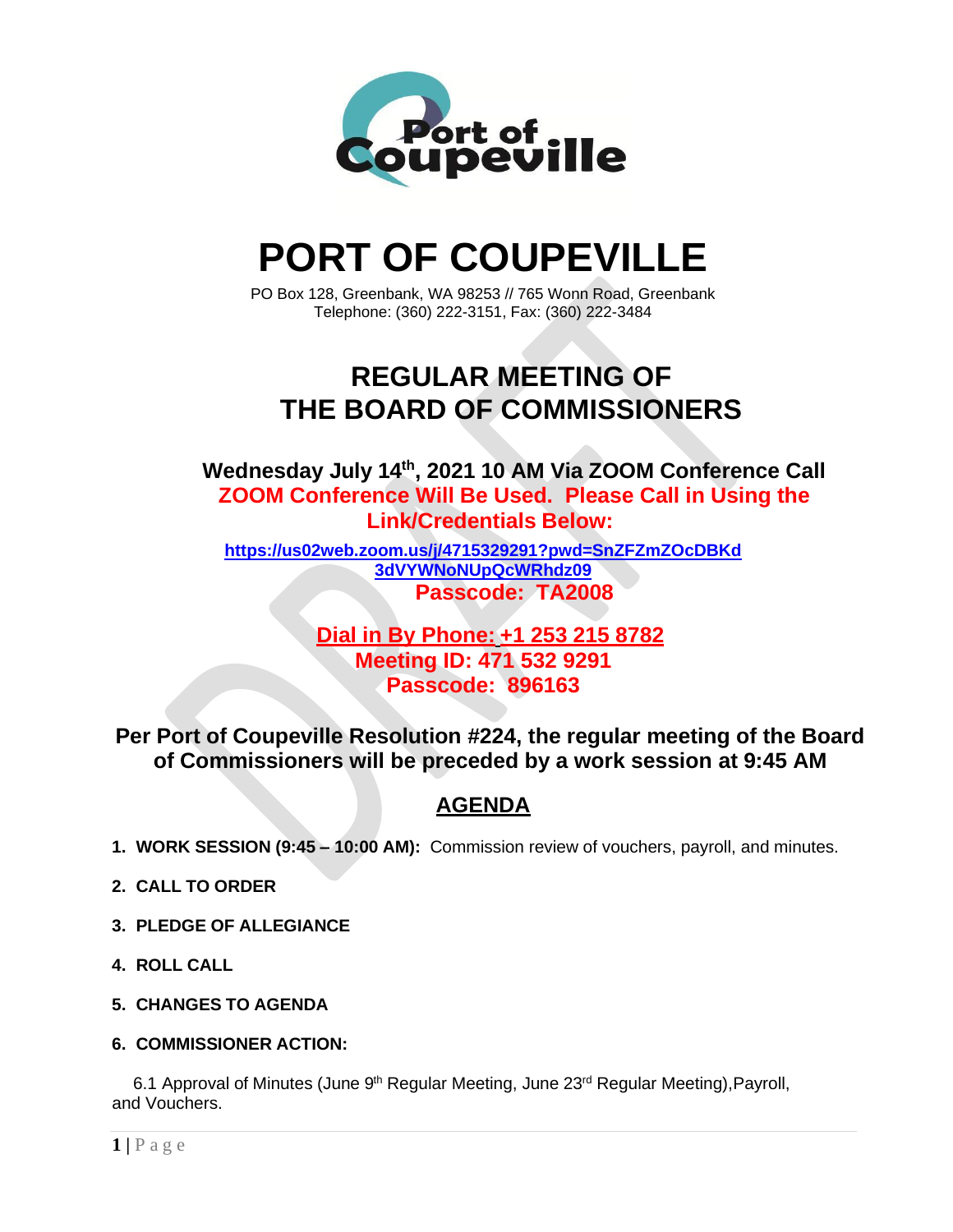

# **PORT OF COUPEVILLE**

PO Box 128, Greenbank, WA 98253 // 765 Wonn Road, Greenbank Telephone: (360) 222-3151, Fax: (360) 222-3484

## **REGULAR MEETING OF THE BOARD OF COMMISSIONERS**

**Wednesday July 14th , 2021 10 AM Via ZOOM Conference Call ZOOM Conference Will Be Used. Please Call in Using the Link/Credentials Below:**

**[https://us02web.zoom.us/j/4715329291?pwd=SnZFZmZOcDBKd](https://us02web.zoom.us/j/4715329291?pwd=SnZFZmZOcDBKd3dVYWNoNUpQcWRhdz09) [3dVYWNoNUpQcWRhdz09](https://us02web.zoom.us/j/4715329291?pwd=SnZFZmZOcDBKd3dVYWNoNUpQcWRhdz09) Passcode: TA2008**

> **Dial in By Phone: +1 253 215 8782 Meeting ID: 471 532 9291 Passcode: 896163**

**Per Port of Coupeville Resolution #224, the regular meeting of the Board of Commissioners will be preceded by a work session at 9:45 AM**

### **AGENDA**

- **1. WORK SESSION (9:45 – 10:00 AM):** Commission review of vouchers, payroll, and minutes.
- **2. CALL TO ORDER**
- **3. PLEDGE OF ALLEGIANCE**
- **4. ROLL CALL**
- **5. CHANGES TO AGENDA**
- **6. COMMISSIONER ACTION:**

6.1 Approval of Minutes (June 9<sup>th</sup> Regular Meeting, June 23<sup>rd</sup> Regular Meeting), Payroll, and Vouchers.